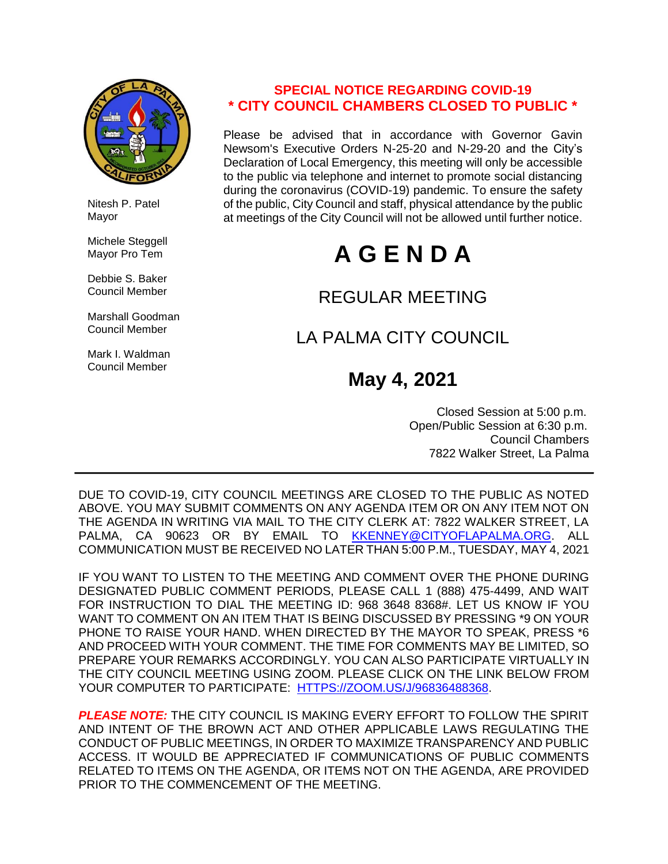

 Nitesh P. Patel Mayor

 Michele Steggell Mayor Pro Tem

 Debbie S. Baker Council Member

 Marshall Goodman Council Member

 Mark I. Waldman Council Member

### **SPECIAL NOTICE REGARDING COVID-19 \* CITY COUNCIL CHAMBERS CLOSED TO PUBLIC \***

Please be advised that in accordance with Governor Gavin Newsom's Executive Orders N-25-20 and N-29-20 and the City's Declaration of Local Emergency, this meeting will only be accessible to the public via telephone and internet to promote social distancing during the coronavirus (COVID-19) pandemic. To ensure the safety of the public, City Council and staff, physical attendance by the public at meetings of the City Council will not be allowed until further notice.

# **A G E N D A**

## REGULAR MEETING

# LA PALMA CITY COUNCIL

# **May 4, 2021**

 Closed Session at 5:00 p.m. Open/Public Session at 6:30 p.m. Council Chambers 7822 Walker Street, La Palma

DUE TO COVID-19, CITY COUNCIL MEETINGS ARE CLOSED TO THE PUBLIC AS NOTED ABOVE. YOU MAY SUBMIT COMMENTS ON ANY AGENDA ITEM OR ON ANY ITEM NOT ON THE AGENDA IN WRITING VIA MAIL TO THE CITY CLERK AT: 7822 WALKER STREET, LA PALMA. CA 90623 OR BY EMAIL TO [KKENNEY@CITYOFLAPALMA.ORG.](mailto:KKENNEY@CITYOFLAPALMA.ORG) ALL COMMUNICATION MUST BE RECEIVED NO LATER THAN 5:00 P.M., TUESDAY, MAY 4, 2021

IF YOU WANT TO LISTEN TO THE MEETING AND COMMENT OVER THE PHONE DURING DESIGNATED PUBLIC COMMENT PERIODS, PLEASE CALL 1 (888) 475-4499, AND WAIT FOR INSTRUCTION TO DIAL THE MEETING ID: 968 3648 8368#. LET US KNOW IF YOU WANT TO COMMENT ON AN ITEM THAT IS BEING DISCUSSED BY PRESSING \*9 ON YOUR PHONE TO RAISE YOUR HAND. WHEN DIRECTED BY THE MAYOR TO SPEAK, PRESS \*6 AND PROCEED WITH YOUR COMMENT. THE TIME FOR COMMENTS MAY BE LIMITED, SO PREPARE YOUR REMARKS ACCORDINGLY. YOU CAN ALSO PARTICIPATE VIRTUALLY IN THE CITY COUNCIL MEETING USING ZOOM. PLEASE CLICK ON THE LINK BELOW FROM YOUR COMPUTER TO PARTICIPATE: [HTTPS://ZOOM.US/J/96836488368.](https://zoom.us/j/96836488368)

*PLEASE NOTE:* THE CITY COUNCIL IS MAKING EVERY EFFORT TO FOLLOW THE SPIRIT AND INTENT OF THE BROWN ACT AND OTHER APPLICABLE LAWS REGULATING THE CONDUCT OF PUBLIC MEETINGS, IN ORDER TO MAXIMIZE TRANSPARENCY AND PUBLIC ACCESS. IT WOULD BE APPRECIATED IF COMMUNICATIONS OF PUBLIC COMMENTS RELATED TO ITEMS ON THE AGENDA, OR ITEMS NOT ON THE AGENDA, ARE PROVIDED PRIOR TO THE COMMENCEMENT OF THE MEETING.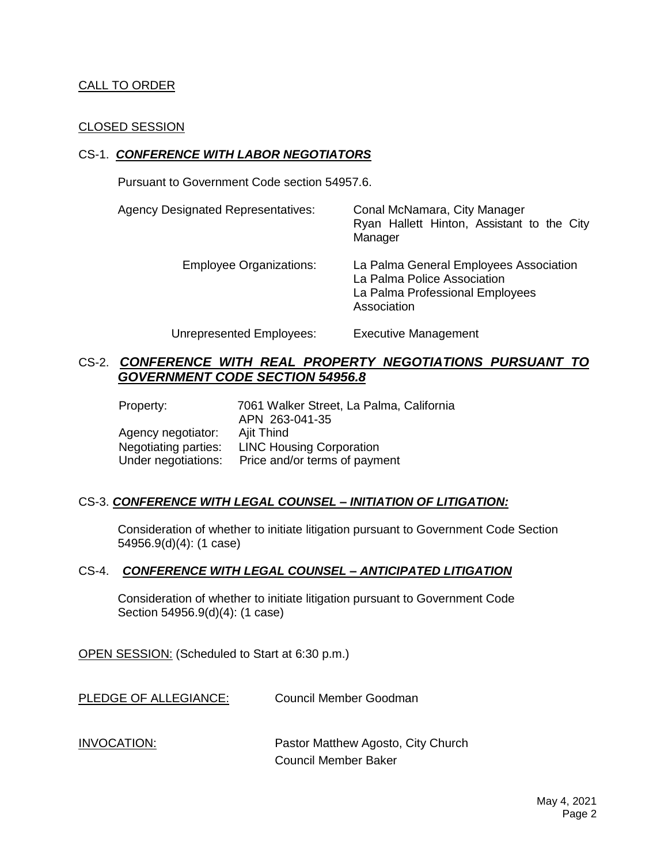#### CALL TO ORDER

#### CLOSED SESSION

#### CS-1. *CONFERENCE WITH LABOR NEGOTIATORS*

Pursuant to Government Code section 54957.6.

| <b>Agency Designated Representatives:</b> | Conal McNamara, City Manager<br>Ryan Hallett Hinton, Assistant to the City<br>Manager                                   |
|-------------------------------------------|-------------------------------------------------------------------------------------------------------------------------|
| <b>Employee Organizations:</b>            | La Palma General Employees Association<br>La Palma Police Association<br>La Palma Professional Employees<br>Association |
| Unrepresented Employees:                  | <b>Executive Management</b>                                                                                             |

CS-2. *CONFERENCE WITH REAL PROPERTY NEGOTIATIONS PURSUANT TO GOVERNMENT CODE SECTION 54956.8*

| Property:            | 7061 Walker Street, La Palma, California<br>APN 263-041-35 |
|----------------------|------------------------------------------------------------|
| Agency negotiator:   | Ajit Thind                                                 |
| Negotiating parties: | <b>LINC Housing Corporation</b>                            |
| Under negotiations:  | Price and/or terms of payment                              |

#### CS-3. *CONFERENCE WITH LEGAL COUNSEL – INITIATION OF LITIGATION:*

Consideration of whether to initiate litigation pursuant to Government Code Section 54956.9(d)(4): (1 case)

#### CS-4. *CONFERENCE WITH LEGAL COUNSEL – ANTICIPATED LITIGATION*

Consideration of whether to initiate litigation pursuant to Government Code Section 54956.9(d)(4): (1 case)

OPEN SESSION: (Scheduled to Start at 6:30 p.m.)

PLEDGE OF ALLEGIANCE: Council Member Goodman

INVOCATION: Pastor Matthew Agosto, City Church Council Member Baker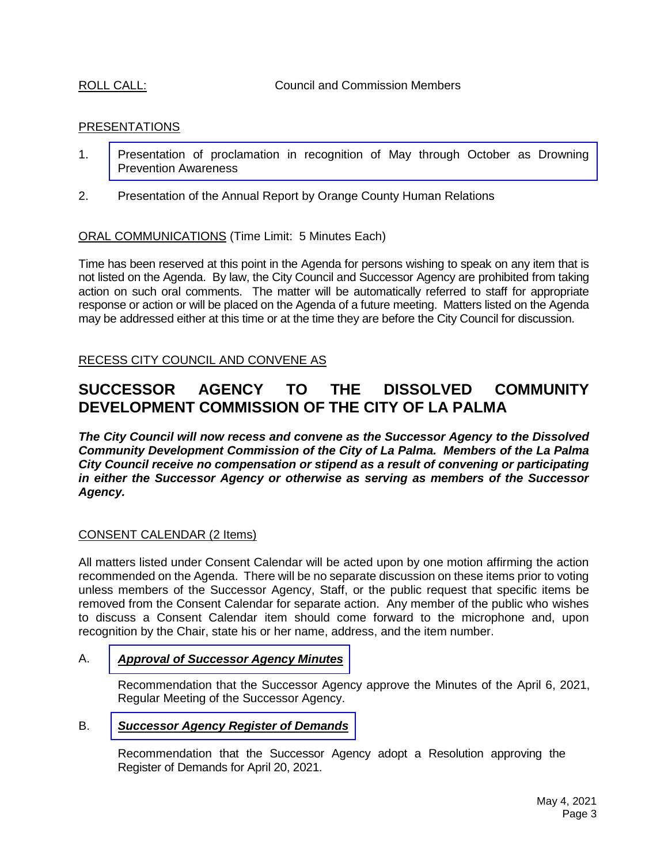ROLL CALL: COUNCIL CALL: Council and Commission Members

#### PRESENTATIONS

- 1. [Presentation of proclamation in recognition of May through October as Drowning](https://www.cityoflapalma.org/DocumentCenter/View/10910/Presentation)  Prevention Awareness
- 2. Presentation of the Annual Report by Orange County Human Relations

ORAL COMMUNICATIONS (Time Limit: 5 Minutes Each)

Time has been reserved at this point in the Agenda for persons wishing to speak on any item that is not listed on the Agenda. By law, the City Council and Successor Agency are prohibited from taking action on such oral comments. The matter will be automatically referred to staff for appropriate response or action or will be placed on the Agenda of a future meeting. Matters listed on the Agenda may be addressed either at this time or at the time they are before the City Council for discussion.

RECESS CITY COUNCIL AND CONVENE AS

### **SUCCESSOR AGENCY TO THE DISSOLVED COMMUNITY DEVELOPMENT COMMISSION OF THE CITY OF LA PALMA**

*The City Council will now recess and convene as the Successor Agency to the Dissolved Community Development Commission of the City of La Palma. Members of the La Palma City Council receive no compensation or stipend as a result of convening or participating in either the Successor Agency or otherwise as serving as members of the Successor Agency.*

#### CONSENT CALENDAR (2 Items)

All matters listed under Consent Calendar will be acted upon by one motion affirming the action recommended on the Agenda. There will be no separate discussion on these items prior to voting unless members of the Successor Agency, Staff, or the public request that specific items be removed from the Consent Calendar for separate action. Any member of the public who wishes to discuss a Consent Calendar item should come forward to the microphone and, upon recognition by the Chair, state his or her name, address, and the item number.

#### A. *Approval of [Successor](https://www.cityoflapalma.org/DocumentCenter/View/10908/Item-A_Successor-Agency-Minutes) Agency Minutes*

Recommendation that the Successor Agency approve the Minutes of the April 6, 2021, Regular Meeting of the Successor Agency.

#### B. *[Successor Agency Register of Demands](https://www.cityoflapalma.org/DocumentCenter/View/10909/Item-B_SA-Warrants-Resolution)*

Recommendation that the Successor Agency adopt a Resolution approving the Register of Demands for April 20, 2021.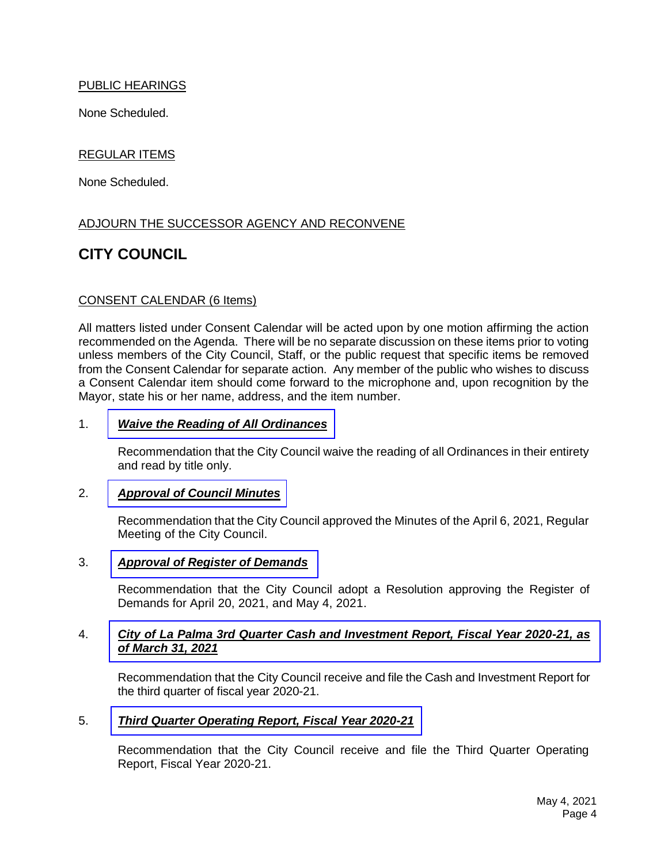#### PUBLIC HEARINGS

None Scheduled.

#### REGULAR ITEMS

None Scheduled.

#### ADJOURN THE SUCCESSOR AGENCY AND RECONVENE

### **CITY COUNCIL**

#### CONSENT CALENDAR (6 Items)

All matters listed under Consent Calendar will be acted upon by one motion affirming the action recommended on the Agenda. There will be no separate discussion on these items prior to voting unless members of the City Council, Staff, or the public request that specific items be removed from the Consent Calendar for separate action. Any member of the public who wishes to discuss a Consent Calendar item should come forward to the microphone and, upon recognition by the Mayor, state his or her name, address, and the item number.

#### 1. *[Waive the Reading of All Ordinances](https://www.cityoflapalma.org/DocumentCenter/View/10911/Item-1_Waive-Reading-of-Ordinances)*

Recommendation that the City Council waive the reading of all Ordinances in their entirety and read by title only.

#### 2. *[Approval of Council Minutes](https://www.cityoflapalma.org/DocumentCenter/View/10912/Item-2_City-Council-Minutes)*

Recommendation that the City Council approved the Minutes of the April 6, 2021, Regular Meeting of the City Council.

#### 3. *[Approval of Register of Demands](https://www.cityoflapalma.org/DocumentCenter/View/10900/Item-3_CC-Warrants)*

Recommendation that the City Council adopt a Resolution approving the Register of Demands for April 20, 2021, and May 4, 2021.

#### 4. *[City of La Palma 3rd Quarter Cash and Investment Report, Fiscal Year 2020-21, as](https://www.cityoflapalma.org/DocumentCenter/View/10901/Item-4_Cash-Investment-Report-Q3-FY-20-21)  of March 31, 2021*

Recommendation that the City Council receive and file the Cash and Investment Report for the third quarter of fiscal year 2020-21.

#### 5. *[Third Quarter Operating Report, Fiscal Year 2020-21](https://www.cityoflapalma.org/DocumentCenter/View/10902/Item-5_Q3-Financial-Report-Attachments)*

Recommendation that the City Council receive and file the Third Quarter Operating Report, Fiscal Year 2020-21.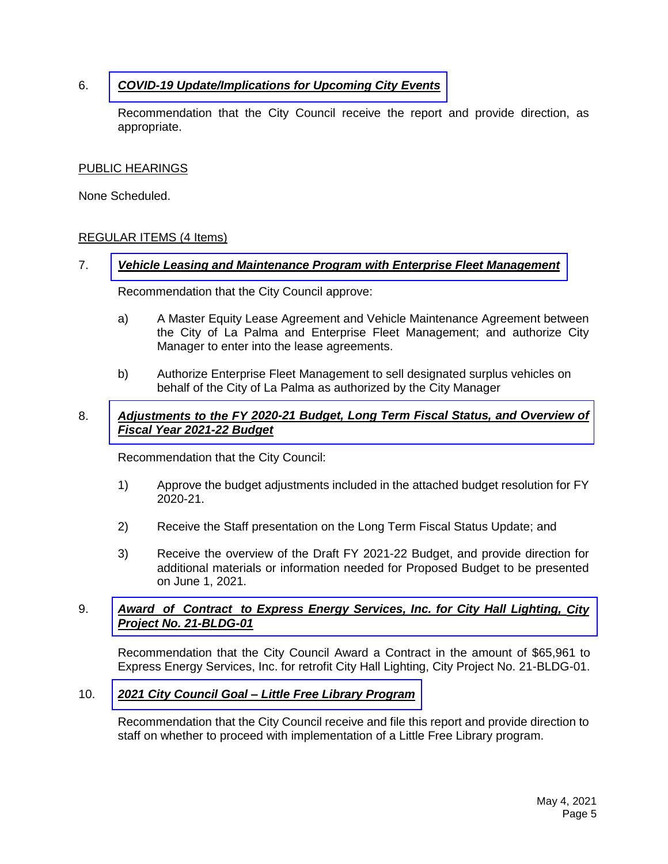#### 6. *[COVID-19 Update/Implications for Upcoming City Events](https://www.cityoflapalma.org/DocumentCenter/View/10903/Item-6_COVID-19-Update-5-4-21)*

Recommendation that the City Council receive the report and provide direction, as appropriate.

#### PUBLIC HEARINGS

None Scheduled.

#### REGULAR ITEMS (4 Items)

#### 7. *[Vehicle Leasing and Maintenance Program with Enterprise Fleet Management](https://www.cityoflapalma.org/DocumentCenter/View/10904/Item-7_Enterprise-Vehicle-Leasing)*

Recommendation that the City Council approve:

- a) A Master Equity Lease Agreement and Vehicle Maintenance Agreement between the City of La Palma and Enterprise Fleet Management; and authorize City Manager to enter into the lease agreements.
- b) Authorize Enterprise Fleet Management to sell designated surplus vehicles on behalf of the City of La Palma as authorized by the City Manager

#### 8. *Adjustments to the FY 2020-21 Budget, [Long Term Fiscal Status, and Overview of](https://www.cityoflapalma.org/DocumentCenter/View/10905/Item-8_Budget-Amend-Long-Term-Financial-and-Budget-Planning-DRAFT-20_)  Fiscal Year 2021-22 Budget*

Recommendation that the City Council:

- 1) Approve the budget adjustments included in the attached budget resolution for FY 2020-21.
- 2) Receive the Staff presentation on the Long Term Fiscal Status Update; and
- 3) Receive the overview of the Draft FY 2021-22 Budget, and provide direction for additional materials or information needed for Proposed Budget to be presented on June 1, 2021.

#### 9. *Award of Contract [to Express Energy Services, Inc. for City Hall Lighting, City](https://www.cityoflapalma.org/DocumentCenter/View/10906/Item-9_City-Hall-Lighting-Agreement) Project No. 21-BLDG-01*

Recommendation that the City Council Award a Contract in the amount of \$65,961 to Express Energy Services, Inc. for retrofit City Hall Lighting, City Project No. 21-BLDG-01.

#### 10. *2021 City Council Goal – [Little Free Library Program](https://www.cityoflapalma.org/DocumentCenter/View/10907/Item-10_Little-Free-Libary-Program)*

Recommendation that the City Council receive and file this report and provide direction to staff on whether to proceed with implementation of a Little Free Library program.